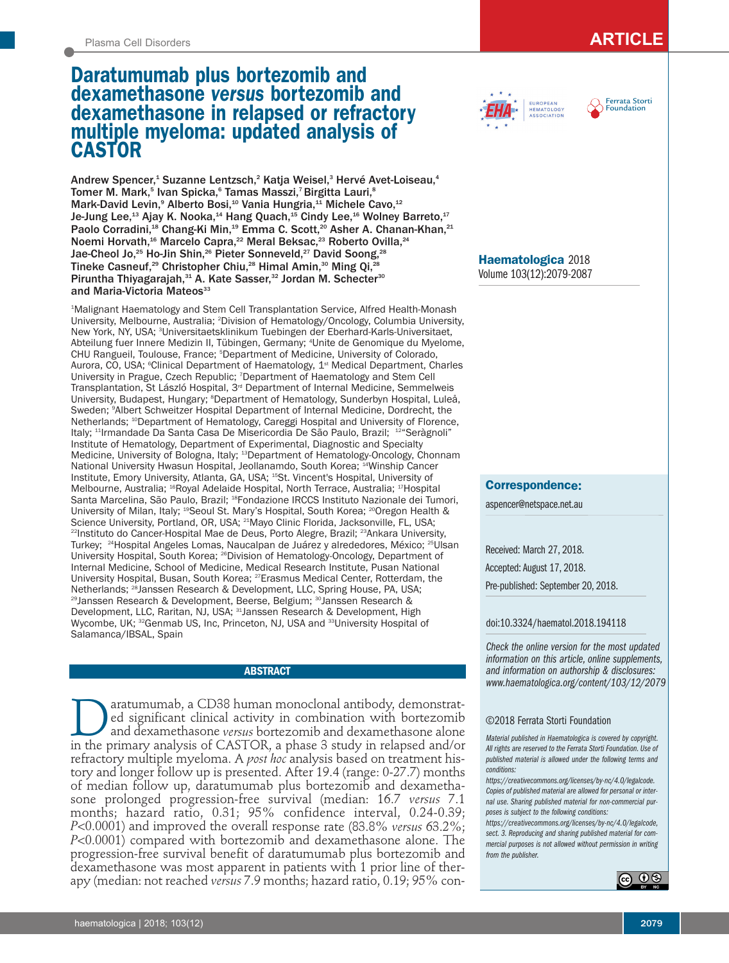# Plasma Cell Disorders **ARTICLE**

# **Daratumumab plus bortezomib and dexamethasone** *versus* **bortezomib and dexamethasone in relapsed or refractory multiple myeloma: updated analysis of CASTOR**

Andrew Spencer,<sup>1</sup> Suzanne Lentzsch,<sup>2</sup> Katja Weisel,<sup>3</sup> Hervé Avet-Loiseau,<sup>4</sup> Tomer M. Mark,<sup>5</sup> Ivan Spicka,<sup>6</sup> Tamas Masszi,<sup>7</sup> Birgitta Lauri,<sup>8</sup> Mark-David Levin,<sup>9</sup> Alberto Bosi,<sup>10</sup> Vania Hungria,<sup>11</sup> Michele Cavo,<sup>12</sup> Je-Jung Lee, $^{\text{13}}$  Ajay K. Nooka, $^{\text{14}}$  Hang Quach, $^{\text{15}}$  Cindy Lee, $^{\text{16}}$  Wolney Barreto, $^{\text{17}}$ Paolo Corradini,<sup>18</sup> Chang-Ki Min,<sup>19</sup> Emma C. Scott,<sup>20</sup> Asher A. Chanan-Khan,<sup>21</sup> Noemi Horvath,<sup>16</sup> Marcelo Capra,<sup>22</sup> Meral Beksac,<sup>23</sup> Roberto Ovilla,<sup>24</sup> Jae-Cheol Jo,<sup>25</sup> Ho-Jin Shin,<sup>26</sup> Pieter Sonneveld,<sup>27</sup> David Soong,<sup>28</sup> Tineke Casneuf,<sup>29</sup> Christopher Chiu,<sup>28</sup> Himal Amin,<sup>30</sup> Ming Qi,<sup>28</sup> Piruntha Thiyagarajah,<sup>31</sup> A. Kate Sasser,<sup>32</sup> Jordan M. Schecter<sup>30</sup> and Maria-Victoria Mateos<sup>33</sup>

1 Malignant Haematology and Stem Cell Transplantation Service, Alfred Health-Monash University, Melbourne, Australia; 2 Division of Hematology/Oncology, Columbia University, New York, NY, USA; <sup>3</sup>Universitaetsklinikum Tuebingen der Eberhard-Karls-Universitaet, Abteilung fuer Innere Medizin II, Tübingen, Germany; 4 Unite de Genomique du Myelome, CHU Rangueil, Toulouse, France; 5 Department of Medicine, University of Colorado, Aurora, CO, USA; <sup>s</sup>Clinical Department of Haematology, 1<sup>st</sup> Medical Department, Charles University in Prague, Czech Republic; 7 Department of Haematology and Stem Cell Transplantation, St László Hospital, 3<sup>rd</sup> Department of Internal Medicine, Semmelweis University, Budapest, Hungary; <sup>a</sup>Department of Hematology, Sunderbyn Hospital, Luleå, Sweden; 9 Albert Schweitzer Hospital Department of Internal Medicine, Dordrecht, the Netherlands; 10Department of Hematology, Careggi Hospital and University of Florence, Italy; <sup>11</sup>Irmandade Da Santa Casa De Misericordia De São Paulo, Brazil; <sup>12</sup>"Seràgnoli" Institute of Hematology, Department of Experimental, Diagnostic and Specialty Medicine, University of Bologna, Italy; 13Department of Hematology-Oncology, Chonnam National University Hwasun Hospital, Jeollanamdo, South Korea; <sup>14</sup>Winship Cancer Institute, Emory University, Atlanta, GA, USA; 15St. Vincent's Hospital, University of Melbourne, Australia; 16Royal Adelaide Hospital, North Terrace, Australia; 17Hospital Santa Marcelina, São Paulo, Brazil; <sup>18</sup>Fondazione IRCCS Instituto Nazionale dei Tumori, University of Milan, Italy; <sup>19</sup>Seoul St. Mary's Hospital, South Korea; <sup>20</sup>Oregon Health & Science University, Portland, OR, USA; 21Mayo Clinic Florida, Jacksonville, FL, USA; <sup>22</sup>Instituto do Cancer-Hospital Mae de Deus, Porto Alegre, Brazil; <sup>23</sup>Ankara University, Turkey; <sup>24</sup>Hospital Angeles Lomas, Naucalpan de Juárez y alrededores, México; <sup>25</sup>Ulsan University Hospital, South Korea; 26Division of Hematology-Oncology, Department of Internal Medicine, School of Medicine, Medical Research Institute, Pusan National University Hospital, Busan, South Korea; 27Erasmus Medical Center, Rotterdam, the Netherlands; 28Janssen Research & Development, LLC, Spring House, PA, USA; <sup>29</sup>Janssen Research & Development, Beerse, Belgium; <sup>30</sup>Janssen Research & Development, LLC, Raritan, NJ, USA; <sup>31</sup>Janssen Research & Development, High Wycombe, UK; <sup>32</sup>Genmab US, Inc, Princeton, NJ, USA and <sup>33</sup>University Hospital of Salamanca/IBSAL, Spain

# **ABSTRACT**

aratumumab, a CD38 human monoclonal antibody, demonstrated significant clinical activity in combination with bortezomib and dexamethasone *versus* bortezomib and dexamethasone alone in the primary analysis of CASTOR, a phase 3 study in relapsed and/or refractory multiple myeloma. A *post hoc* analysis based on treatment history and longer follow up is presented. After 19.4 (range: 0-27.7) months of median follow up, daratumumab plus bortezomib and dexamethasone prolonged progression-free survival (median: 16.7 *versus* 7.1 months; hazard ratio, 0.31; 95% confidence interval, 0.24-0.39; *P*<0.0001) and improved the overall response rate (83.8% *versus* 63.2%; *P*<0.0001) compared with bortezomib and dexamethasone alone. The progression-free survival benefit of daratumumab plus bortezomib and dexamethasone was most apparent in patients with 1 prior line of therapy (median: not reached *versus* 7.9 months; hazard ratio, 0.19; 95% con-





**Haematologica** 2018 Volume 103(12):2079-2087

# **Correspondence:**

aspencer@netspace.net.au

Received: March 27, 2018. Accepted: August 17, 2018. Pre-published: September 20, 2018.

## doi:10.3324/haematol.2018.194118

*Check the online version for the most updated information on this article, online supplements, and information on authorship & disclosures: www.haematologica.org/content/103/12/2079*

## ©2018 Ferrata Storti Foundation

*Material published in Haematologica is covered by copyright. All rights are reserved to the Ferrata Storti Foundation. Use of published material is allowed under the following terms and conditions:* 

*https://creativecommons.org/licenses/by-nc/4.0/legalcode. Copies of published material are allowed for personal or internal use. Sharing published material for non-commercial purposes is subject to the following conditions:* 

*https://creativecommons.org/licenses/by-nc/4.0/legalcode, sect. 3. Reproducing and sharing published material for commercial purposes is not allowed without permission in writing from the publisher.*

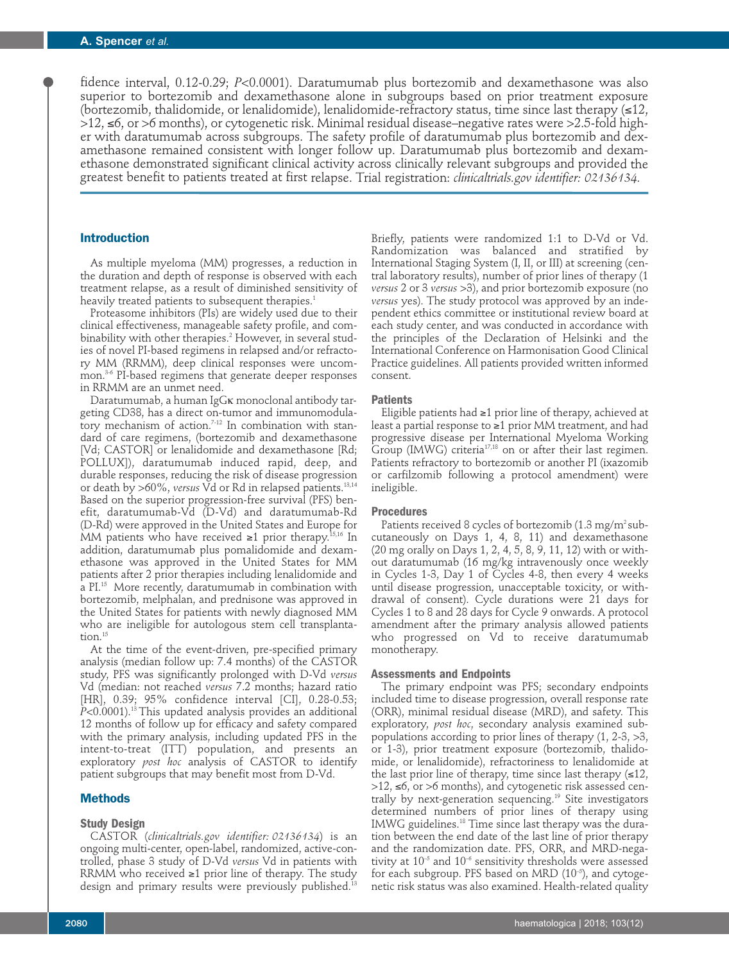fidence interval, 0.12-0.29; *P*<0.0001). Daratumumab plus bortezomib and dexamethasone was also superior to bortezomib and dexamethasone alone in subgroups based on prior treatment exposure (bortezomib, thalidomide, or lenalidomide), lenalidomide-refractory status, time since last therapy  $(\leq 12)$ , >12, ≤6, or >6 months), or cytogenetic risk. Minimal residual disease–negative rates were >2.5-fold higher with daratumumab across subgroups. The safety profile of daratumumab plus bortezomib and dexamethasone remained consistent with longer follow up. Daratumumab plus bortezomib and dexamethasone demonstrated significant clinical activity across clinically relevant subgroups and provided the greatest benefit to patients treated at first relapse. Trial registration: *clinicaltrials.gov identifier: 02136134.* 

## **Introduction**

As multiple myeloma (MM) progresses, a reduction in the duration and depth of response is observed with each treatment relapse, as a result of diminished sensitivity of heavily treated patients to subsequent therapies.<sup>1</sup>

Proteasome inhibitors (PIs) are widely used due to their clinical effectiveness, manageable safety profile, and combinability with other therapies.<sup>2</sup> However, in several studies of novel PI-based regimens in relapsed and/or refractory MM (RRMM), deep clinical responses were uncommon.<sup>3-6</sup> PI-based regimens that generate deeper responses in RRMM are an unmet need.

Daratumumab, a human IgGκ monoclonal antibody targeting CD38, has a direct on-tumor and immunomodulatory mechanism of action.<sup>7-12</sup> In combination with standard of care regimens, (bortezomib and dexamethasone [Vd; CASTOR] or lenalidomide and dexamethasone [Rd; POLLUX]), daratumumab induced rapid, deep, and durable responses, reducing the risk of disease progression or death by >60%, *versus* Vd or Rd in relapsed patients.13,14 Based on the superior progression-free survival (PFS) benefit, daratumumab-Vd (D-Vd) and daratumumab-Rd (D-Rd) were approved in the United States and Europe for MM patients who have received  $\geq 1$  prior therapy.<sup>15,16</sup> In addition, daratumumab plus pomalidomide and dexamethasone was approved in the United States for MM patients after 2 prior therapies including lenalidomide and a PI.15 More recently, daratumumab in combination with bortezomib, melphalan, and prednisone was approved in the United States for patients with newly diagnosed MM who are ineligible for autologous stem cell transplantation.<sup>15</sup>

At the time of the event-driven, pre-specified primary analysis (median follow up: 7.4 months) of the CASTOR study, PFS was significantly prolonged with D-Vd *versus* Vd (median: not reached *versus* 7.2 months; hazard ratio [HR], 0.39; 95% confidence interval [CI], 0.28-0.53; *P*<0.0001).13 This updated analysis provides an additional 12 months of follow up for efficacy and safety compared with the primary analysis, including updated PFS in the intent-to-treat (ITT) population, and presents an exploratory *post hoc* analysis of CASTOR to identify patient subgroups that may benefit most from D-Vd.

## **Methods**

## **Study Design**

CASTOR (*clinicaltrials.gov identifier: 02136134*) is an ongoing multi-center, open-label, randomized, active-controlled, phase 3 study of D-Vd *versus* Vd in patients with RRMM who received ≥1 prior line of therapy. The study design and primary results were previously published.<sup>13</sup>

Briefly, patients were randomized 1:1 to D-Vd or Vd. Randomization was balanced and stratified by International Staging System (I, II, or III) at screening (central laboratory results), number of prior lines of therapy (1 *versus* 2 or 3 *versus* >3), and prior bortezomib exposure (no *versus* yes). The study protocol was approved by an independent ethics committee or institutional review board at each study center, and was conducted in accordance with the principles of the Declaration of Helsinki and the International Conference on Harmonisation Good Clinical Practice guidelines. All patients provided written informed consent.

#### **Patients**

Eligible patients had ≥1 prior line of therapy, achieved at least a partial response to ≥1 prior MM treatment, and had progressive disease per International Myeloma Working Group (IMWG) criteria<sup>17,18</sup> on or after their last regimen. Patients refractory to bortezomib or another PI (ixazomib or carfilzomib following a protocol amendment) were ineligible.

#### **Procedures**

Patients received 8 cycles of bortezomib (1.3 mg/m<sup>2</sup> subcutaneously on Days 1, 4, 8, 11) and dexamethasone (20 mg orally on Days 1, 2, 4, 5, 8, 9, 11, 12) with or without daratumumab (16 mg/kg intravenously once weekly in Cycles 1-3, Day 1 of Cycles 4-8, then every 4 weeks until disease progression, unacceptable toxicity, or withdrawal of consent). Cycle durations were 21 days for Cycles 1 to 8 and 28 days for Cycle 9 onwards. A protocol amendment after the primary analysis allowed patients who progressed on Vd to receive daratumumab monotherapy.

## **Assessments and Endpoints**

The primary endpoint was PFS; secondary endpoints included time to disease progression, overall response rate (ORR), minimal residual disease (MRD), and safety. This exploratory, *post hoc*, secondary analysis examined subpopulations according to prior lines of therapy (1, 2-3, >3, or 1-3), prior treatment exposure (bortezomib, thalidomide, or lenalidomide), refractoriness to lenalidomide at the last prior line of therapy, time since last therapy  $(≤12)$ , >12, ≤6, or >6 months), and cytogenetic risk assessed centrally by next-generation sequencing.<sup>19</sup> Site investigators determined numbers of prior lines of therapy using IMWG guidelines.<sup>18</sup> Time since last therapy was the duration between the end date of the last line of prior therapy and the randomization date. PFS, ORR, and MRD-negativity at  $10^{-5}$  and  $10^{-6}$  sensitivity thresholds were assessed for each subgroup. PFS based on MRD (10<sup>-5</sup>), and cytogenetic risk status was also examined. Health-related quality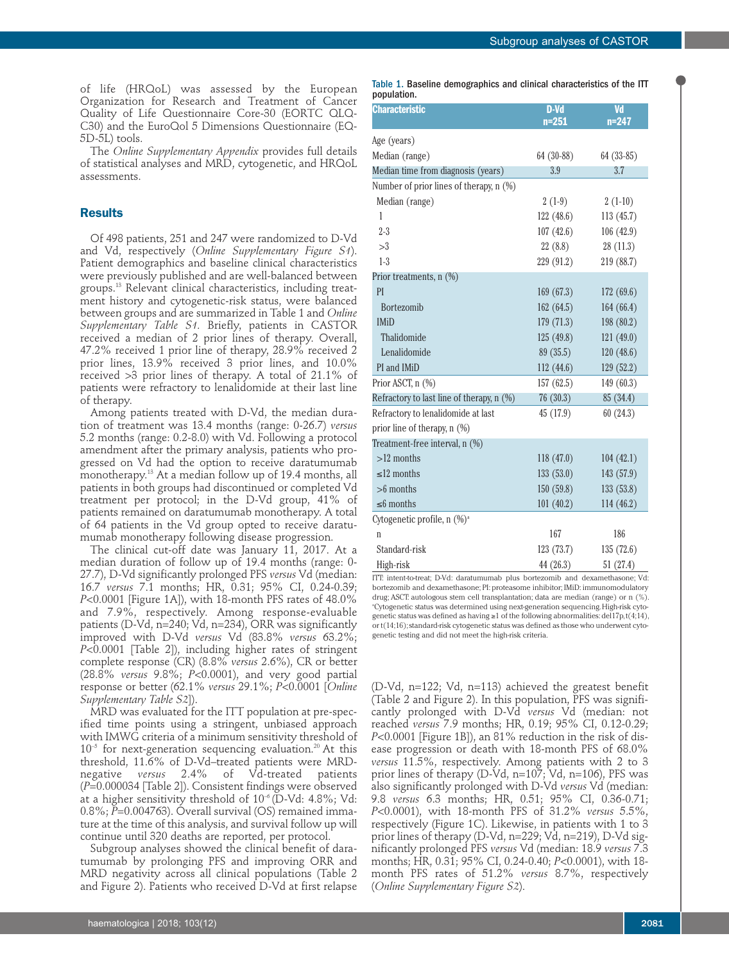of life (HRQoL) was assessed by the European Organization for Research and Treatment of Cancer Quality of Life Questionnaire Core-30 (EORTC QLQ-C30) and the EuroQol 5 Dimensions Questionnaire (EQ-5D-5L) tools.

The *Online Supplementary Appendix* provides full details of statistical analyses and MRD, cytogenetic, and HRQoL assessments.

# **Results**

Of 498 patients, 251 and 247 were randomized to D-Vd and Vd, respectively (*Online Supplementary Figure S1*). Patient demographics and baseline clinical characteristics were previously published and are well-balanced between groups.13 Relevant clinical characteristics, including treatment history and cytogenetic-risk status, were balanced between groups and are summarized in Table 1 and *Online Supplementary Table S1.* Briefly, patients in CASTOR received a median of 2 prior lines of therapy. Overall, 47.2% received 1 prior line of therapy, 28.9% received 2 prior lines, 13.9% received 3 prior lines, and 10.0% received >3 prior lines of therapy. A total of 21.1% of patients were refractory to lenalidomide at their last line of therapy.

Among patients treated with D-Vd, the median duration of treatment was 13.4 months (range: 0-26.7) *versus* 5.2 months (range: 0.2-8.0) with Vd. Following a protocol amendment after the primary analysis, patients who progressed on Vd had the option to receive daratumumab monotherapy.<sup>13</sup> At a median follow up of 19.4 months, all patients in both groups had discontinued or completed Vd treatment per protocol; in the D-Vd group, 41% of patients remained on daratumumab monotherapy. A total of 64 patients in the Vd group opted to receive daratumumab monotherapy following disease progression.

The clinical cut-off date was January 11, 2017. At a median duration of follow up of 19.4 months (range: 0- 27.7), D-Vd significantly prolonged PFS *versus* Vd (median: 16.7 *versus* 7.1 months; HR, 0.31; 95% CI, 0.24-0.39; *P*<0.0001 [Figure 1A]), with 18-month PFS rates of 48.0% and 7.9%, respectively. Among response-evaluable patients (D-Vd, n=240; Vd, n=234), ORR was significantly improved with D-Vd *versus* Vd (83.8% *versus* 63.2%; *P*<0.0001 [Table 2]), including higher rates of stringent complete response (CR) (8.8% *versus* 2.6%), CR or better (28.8% *versus* 9.8%; *P*<0.0001), and very good partial response or better (62.1% *versus* 29.1%; *P*<0.0001 [*Online Supplementary Table S2*]).

MRD was evaluated for the ITT population at pre-specified time points using a stringent, unbiased approach with IMWG criteria of a minimum sensitivity threshold of  $10^{-5}$  for next-generation sequencing evaluation.<sup>20</sup> At this threshold, 11.6% of D-Vd-treated patients were MRD-<br>negative versus 2.4% of Vd-treated patients negative *versus* 2.4% of Vd-treated patients (*P*=0.000034 [Table 2]). Consistent findings were observed at a higher sensitivity threshold of  $10^{-6}$  (D-Vd: 4.8%; Vd: 0.8%; *P*=0.004763). Overall survival (OS) remained immature at the time of this analysis, and survival follow up will continue until 320 deaths are reported, per protocol.

Subgroup analyses showed the clinical benefit of daratumumab by prolonging PFS and improving ORR and MRD negativity across all clinical populations (Table 2 and Figure 2). Patients who received D-Vd at first relapse Table 1. Baseline demographics and clinical characteristics of the ITT population.

| <b>Characteristic</b>                     | <b>D-Vd</b><br>$n = 251$ | Vd<br>$n = 247$ |
|-------------------------------------------|--------------------------|-----------------|
| Age (years)                               |                          |                 |
| Median (range)                            | 64 (30-88)               | $64(33-85)$     |
| Median time from diagnosis (years)        | 3.9                      | 3.7             |
| Number of prior lines of therapy, n (%)   |                          |                 |
| Median (range)                            | $2(1-9)$                 | $2(1-10)$       |
| 1                                         | 122(48.6)                | 113 (45.7)      |
| $2 - 3$                                   | 107(42.6)                | 106(42.9)       |
| >3                                        | 22(8.8)                  | 28(11.3)        |
| $1-3$                                     | 229 (91.2)               | 219 (88.7)      |
| Prior treatments, n (%)                   |                          |                 |
| PI                                        | 169(67.3)                | 172(69.6)       |
| <b>Bortezomib</b>                         | 162(64.5)                | 164 (66.4)      |
| <b>IMiD</b>                               | 179(71.3)                | 198 (80.2)      |
| Thalidomide                               | 125(49.8)                | 121(49.0)       |
| Lenalidomide                              | 89(35.5)                 | 120(48.6)       |
| PI and IMiD                               | 112(44.6)                | 129(52.2)       |
| Prior ASCT, n (%)                         | 157 (62.5)               | 149 (60.3)      |
| Refractory to last line of therapy, n (%) | 76(30.3)                 | 85 (34.4)       |
| Refractory to lenalidomide at last        | 45(17.9)                 | 60(24.3)        |
| prior line of therapy, n (%)              |                          |                 |
| Treatment-free interval, n (%)            |                          |                 |
| $>12$ months                              | 118(47.0)                | 104(42.1)       |
| $\leq$ 12 months                          | 133(53.0)                | 143(57.9)       |
| $>6$ months                               | 150(59.8)                | 133(53.8)       |
| $\leq$ 6 months                           | 101(40.2)                | 114(46.2)       |
| Cytogenetic profile, n (%)ª               |                          |                 |
| n                                         | 167                      | 186             |
| Standard-risk                             | 123 (73.7)               | 135(72.6)       |
| High-risk                                 | 44 (26.3)                | 51 (27.4)       |

ITT: intent-to-treat; D-Vd: daratumumab plus bortezomib and dexamethasone; Vd: bortezomib and dexamethasone; PI: proteasome inhibitor; IMiD: immunomodulatory drug; ASCT: autologous stem cell transplantation; data are median (range) or n (%). a Cytogenetic status was determined using next-generation sequencing. High-risk cytogenetic status was defined as having ≥1 of the following abnormalities: del17p, t(4;14), or t(14;16); standard-risk cytogenetic status was defined as those who underwent cytogenetic testing and did not meet the high-risk criteria.

(D-Vd, n=122; Vd, n=113) achieved the greatest benefit (Table 2 and Figure 2). In this population, PFS was significantly prolonged with D-Vd *versus* Vd (median: not reached *versus* 7.9 months; HR, 0.19; 95% CI, 0.12-0.29; *P*<0.0001 [Figure 1B]), an 81% reduction in the risk of disease progression or death with 18-month PFS of 68.0% *versus* 11.5%, respectively. Among patients with 2 to 3 prior lines of therapy (D-Vd, n=107; Vd, n=106), PFS was also significantly prolonged with D-Vd *versus* Vd (median: 9.8 *versus* 6.3 months; HR, 0.51; 95% CI, 0.36-0.71; *P*<0.0001), with 18-month PFS of 31.2% *versus* 5.5%, respectively (Figure 1C). Likewise, in patients with 1 to 3 prior lines of therapy (D-Vd, n=229; Vd, n=219), D-Vd significantly prolonged PFS *versus* Vd (median: 18.9 *versus* 7.3 months; HR, 0.31; 95% CI, 0.24-0.40; *P*<0.0001), with 18 month PFS rates of 51.2% *versus* 8.7%, respectively (*Online Supplementary Figure S2*).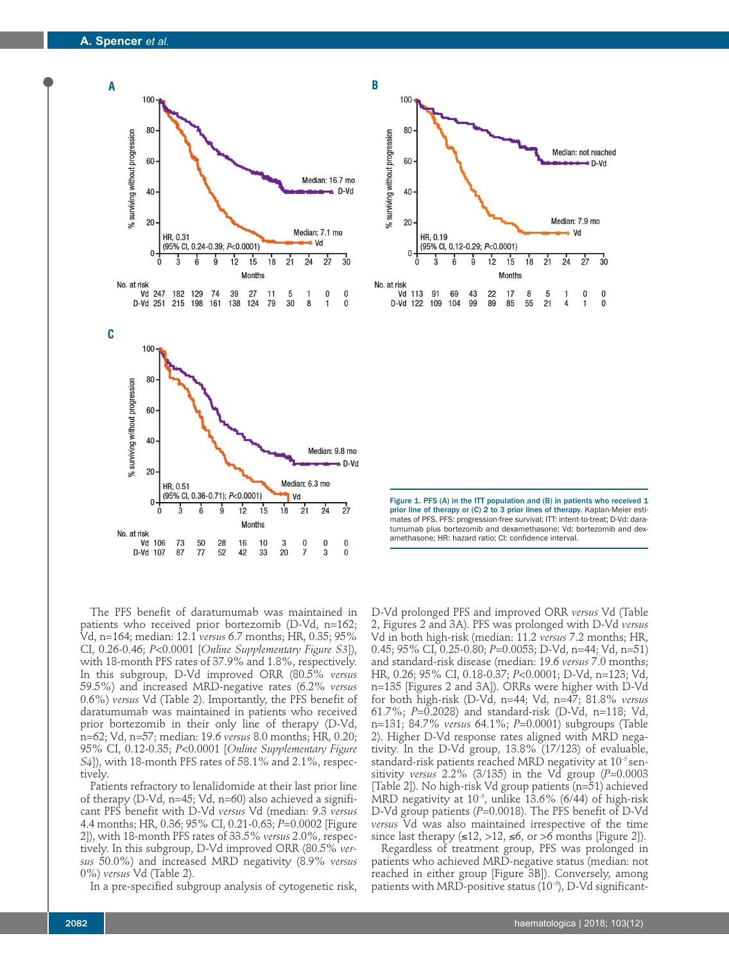



Figure 1. PFS (A) in the ITT population and (B) in patients who received 1 prior line of therapy or (C) 2 to 3 prior lines of therapy. Kaplan-Meier estimates of PFS. PFS: progression-free survival; ITT: intent-to-treat; D-Vd: daratumumab plus bortezomib and dexamethasone; Vd: bortezomib and dexamethasone; HR: hazard ratio; CI: confidence interval.

The PFS benefit of daratumumab was maintained in patients who received prior bortezomib (D-Vd, n=162; Vd, n=164; median: 12.1 *versus* 6.7 months; HR, 0.35; 95% CI, 0.26-0.46; *P*<0.0001 [*Online Supplementary Figure S3*]), with 18-month PFS rates of 37.9% and 1.8%, respectively. In this subgroup, D-Vd improved ORR (80.5% *versus* 59.5%) and increased MRD-negative rates (6.2% *versus* 0.6%) *versus* Vd (Table 2). Importantly, the PFS benefit of daratumumab was maintained in patients who received prior bortezomib in their only line of therapy (D-Vd, n=62; Vd, n=57; median: 19.6 *versus* 8.0 months; HR, 0.20; 95% CI, 0.12-0.35; *P*<0.0001 [*Online Supplementary Figure S4*]), with 18-month PFS rates of 58.1% and 2.1%, respectively.

Patients refractory to lenalidomide at their last prior line of therapy (D-Vd, n=45; Vd, n=60) also achieved a significant PFS benefit with D-Vd *versus* Vd (median: 9.3 *versus* 4.4 months; HR, 0.36; 95% CI, 0.21-0.63; *P*=0.0002 [Figure 2]), with 18-month PFS rates of 33.5% *versus* 2.0%, respectively. In this subgroup, D-Vd improved ORR (80.5% *versus* 50.0%) and increased MRD negativity (8.9% *versus* 0%) *versus* Vd (Table 2).

In a pre-specified subgroup analysis of cytogenetic risk,

D-Vd prolonged PFS and improved ORR *versus* Vd (Table 2, Figures 2 and 3A). PFS was prolonged with D-Vd *versus* Vd in both high-risk (median: 11.2 *versus* 7.2 months; HR, 0.45; 95% CI, 0.25-0.80; *P*=0.0053; D-Vd, n=44; Vd, n=51) and standard-risk disease (median: 19.6 *versus* 7.0 months; HR, 0.26; 95% CI, 0.18-0.37; *P*<0.0001; D-Vd, n=123; Vd, n=135 [Figures 2 and 3A]). ORRs were higher with D-Vd for both high-risk (D-Vd, n=44; Vd, n=47; 81.8% *versus* 61.7%; *P*=0.2028) and standard-risk (D-Vd, n=118; Vd, n=131; 84.7% *versus* 64.1%; *P*=0.0001) subgroups (Table 2). Higher D-Vd response rates aligned with MRD negativity. In the D-Vd group, 13.8% (17/123) of evaluable, standard-risk patients reached MRD negativity at  $10^{-5}$  sensitivity *versus* 2.2% (3/135) in the Vd group (*P*=0.0003 [Table 2]). No high-risk Vd group patients (n=51) achieved MRD negativity at  $10^{-5}$ , unlike 13.6% (6/44) of high-risk D-Vd group patients (P=0.0018). The PFS benefit of D-Vd *versus* Vd was also maintained irrespective of the time since last therapy  $(\leq 12, >12, \leq 6,$  or  $>6$  months [Figure 2]).

Regardless of treatment group, PFS was prolonged in patients who achieved MRD-negative status (median: not reached in either group [Figure 3B]). Conversely, among patients with MRD-positive status  $(10^{-5})$ , D-Vd significant-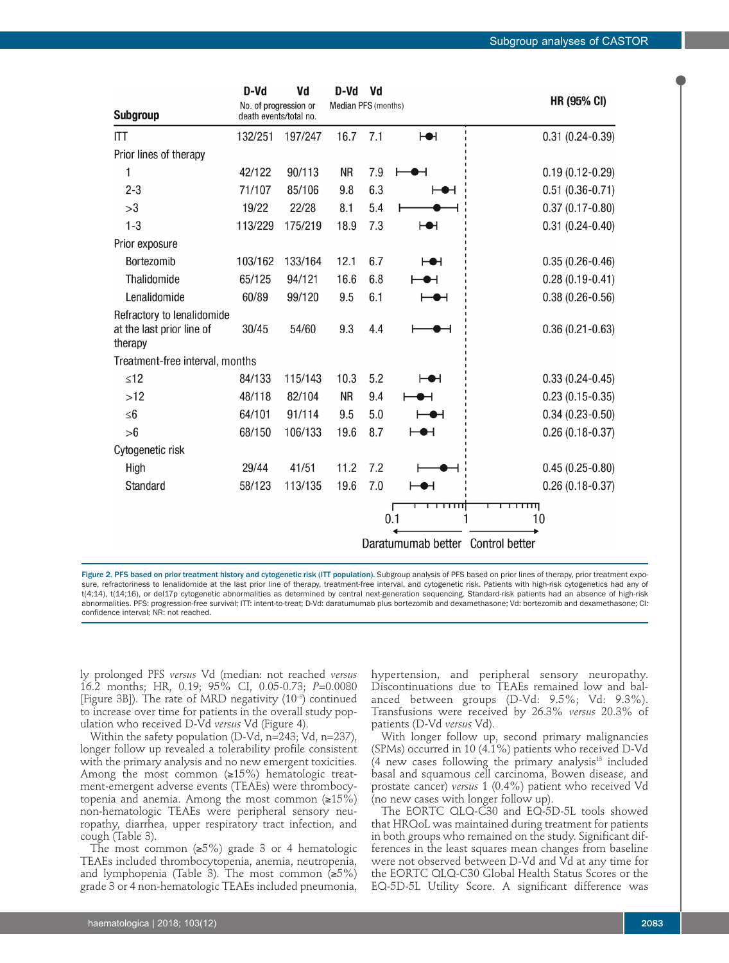|                                                                    | D-Vd                                            | Vd      | D-Vd                | Vd  |                                   |                                                |
|--------------------------------------------------------------------|-------------------------------------------------|---------|---------------------|-----|-----------------------------------|------------------------------------------------|
| <b>Subgroup</b>                                                    | No. of progression or<br>death events/total no. |         | Median PFS (months) |     |                                   | <b>HR (95% CI)</b>                             |
| <b>ITT</b>                                                         | 132/251                                         | 197/247 | 16.7                | 7.1 | H                                 | $0.31(0.24 - 0.39)$                            |
| Prior lines of therapy                                             |                                                 |         |                     |     |                                   |                                                |
| 1                                                                  | 42/122                                          | 90/113  | <b>NR</b>           | 7.9 |                                   | $0.19(0.12 - 0.29)$                            |
| $2 - 3$                                                            | 71/107                                          | 85/106  | 9.8                 | 6.3 |                                   | $0.51(0.36-0.71)$                              |
| >3                                                                 | 19/22                                           | 22/28   | 8.1                 | 5.4 |                                   | $0.37(0.17-0.80)$                              |
| $1 - 3$                                                            | 113/229                                         | 175/219 | 18.9                | 7.3 | НН                                | $0.31(0.24 - 0.40)$                            |
| Prior exposure                                                     |                                                 |         |                     |     |                                   |                                                |
| Bortezomib                                                         | 103/162                                         | 133/164 | 12.1                | 6.7 | ⊢⊕⊣                               | $0.35(0.26-0.46)$                              |
| Thalidomide                                                        | 65/125                                          | 94/121  | 16.6                | 6.8 |                                   | $0.28(0.19-0.41)$                              |
| Lenalidomide                                                       | 60/89                                           | 99/120  | 9.5                 | 6.1 |                                   | $0.38(0.26 - 0.56)$                            |
| Refractory to lenalidomide<br>at the last prior line of<br>therapy | 30/45                                           | 54/60   | 9.3                 | 4.4 |                                   | $0.36(0.21 - 0.63)$                            |
| Treatment-free interval, months                                    |                                                 |         |                     |     |                                   |                                                |
| $\leq 12$                                                          | 84/133                                          | 115/143 | 10.3                | 5.2 | ⊢⊕⊣                               | $0.33(0.24 - 0.45)$                            |
| >12                                                                | 48/118                                          | 82/104  | <b>NR</b>           | 9.4 |                                   | $0.23(0.15-0.35)$                              |
| $\leq 6$                                                           | 64/101                                          | 91/114  | 9.5                 | 5.0 | ╼                                 | $0.34(0.23 - 0.50)$                            |
| >6                                                                 | 68/150                                          | 106/133 | 19.6                | 8.7 | ๋                                 | $0.26(0.18-0.37)$                              |
| Cytogenetic risk                                                   |                                                 |         |                     |     |                                   |                                                |
| High                                                               | 29/44                                           | 41/51   | 11.2                | 7.2 |                                   | $0.45(0.25-0.80)$                              |
| Standard                                                           | 58/123                                          | 113/135 | 19.6                | 7.0 |                                   | $0.26(0.18-0.37)$                              |
|                                                                    |                                                 |         |                     |     | ┯┯┯┯<br>0.1<br>Daratumumab better | <b>TTTTTIII</b><br>10<br><b>Control better</b> |

Figure 2. PFS based on prior treatment history and cytogenetic risk (ITT population). Subgroup analysis of PFS based on prior lines of therapy, prior treatment exposure, refractoriness to lenalidomide at the last prior line of therapy, treatment-free interval, and cytogenetic risk. Patients with high-risk cytogenetics had any of t(4;14), t(14;16), or del17p cytogenetic abnormalities as determined by central next-generation sequencing. Standard-risk patients had an absence of high-risk abnormalities. PFS: progression-free survival; ITT: intent-to-treat; D-Vd: daratumumab plus bortezomib and dexamethasone; Vd: bortezomib and dexamethasone; CI: confidence interval; NR: not reached.

ly prolonged PFS *versus* Vd (median: not reached *versus* 16.2 months; HR, 0.19; 95% CI, 0.05-0.73; *P*=0.0080 [Figure 3B]). The rate of MRD negativity  $(10^{-5})$  continued to increase over time for patients in the overall study population who received D-Vd *versus* Vd (Figure 4).

Within the safety population (D-Vd, n=243; Vd, n=237), longer follow up revealed a tolerability profile consistent with the primary analysis and no new emergent toxicities. Among the most common  $(\geq 15\%)$  hematologic treatment-emergent adverse events (TEAEs) were thrombocytopenia and anemia. Among the most common  $(≥15%)$ non-hematologic TEAEs were peripheral sensory neuropathy, diarrhea, upper respiratory tract infection, and cough (Table 3).

The most common  $(≥5%)$  grade 3 or 4 hematologic TEAEs included thrombocytopenia, anemia, neutropenia, and lymphopenia (Table 3). The most common  $(≥5%)$ grade 3 or 4 non-hematologic TEAEs included pneumonia,

hypertension, and peripheral sensory neuropathy. Discontinuations due to TEAEs remained low and balanced between groups (D-Vd: 9.5%; Vd: 9.3%). Transfusions were received by 26.3% *versus* 20.3% of patients (D-Vd *versus* Vd).

With longer follow up, second primary malignancies (SPMs) occurred in 10 (4.1%) patients who received D-Vd (4 new cases following the primary analysis $13$  included basal and squamous cell carcinoma, Bowen disease, and prostate cancer) *versus* 1 (0.4%) patient who received Vd (no new cases with longer follow up).

The EORTC QLQ-C30 and EQ-5D-5L tools showed that HRQoL was maintained during treatment for patients in both groups who remained on the study. Significant differences in the least squares mean changes from baseline were not observed between D-Vd and Vd at any time for the EORTC QLQ-C30 Global Health Status Scores or the EQ-5D-5L Utility Score. A significant difference was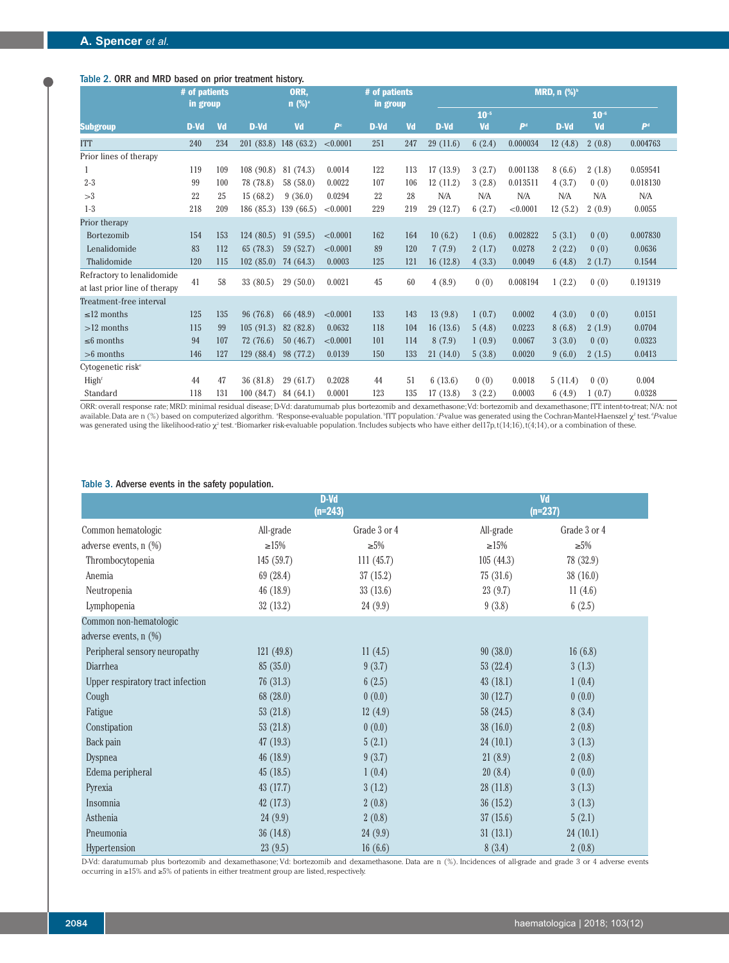# Table 2. ORR and MRD based on prior treatment history.

|                               | # of patients<br>in group |     |            | ORR.<br>$n$ (%) <sup>a</sup> |                | # of patients<br>in group |     |           |                 |                           | MRD, $n$ (%) <sup>b</sup> |                 |                           |
|-------------------------------|---------------------------|-----|------------|------------------------------|----------------|---------------------------|-----|-----------|-----------------|---------------------------|---------------------------|-----------------|---------------------------|
| <b>Subgroup</b>               | D-Vd                      | Vd  | D-Vd       | Vd                           | P <sup>c</sup> | D-Vd                      | Vd  | D-Vd      | $10^{-5}$<br>Vd | $\mathbf{P}^{\mathrm{d}}$ | D-Vd                      | $10^{-6}$<br>Vd | $\mathbf{P}^{\mathrm{d}}$ |
| <b>ITT</b>                    | 240                       | 234 | 201(83.8)  | 148(63.2)                    | < 0.0001       | 251                       | 247 | 29(11.6)  | 6(2.4)          | 0.000034                  | 12(4.8)                   | 2(0.8)          | 0.004763                  |
| Prior lines of therapy        |                           |     |            |                              |                |                           |     |           |                 |                           |                           |                 |                           |
| 1                             | 119                       | 109 | 108(90.8)  | 81 (74.3)                    | 0.0014         | 122                       | 113 | 17(13.9)  | 3(2.7)          | 0.001138                  | 8(6.6)                    | 2(1.8)          | 0.059541                  |
| $2 - 3$                       | 99                        | 100 | 78 (78.8)  | 58 (58.0)                    | 0.0022         | 107                       | 106 | 12(11.2)  | 3(2.8)          | 0.013511                  | 4(3.7)                    | 0(0)            | 0.018130                  |
| >3                            | 22                        | 25  | 15(68.2)   | 9(36.0)                      | 0.0294         | 22                        | 28  | N/A       | N/A             | N/A                       | N/A                       | N/A             | N/A                       |
| $1-3$                         | 218                       | 209 | 186 (85.3) | 139(66.5)                    | < 0.0001       | 229                       | 219 | 29 (12.7) | 6(2.7)          | < 0.0001                  | 12(5.2)                   | 2(0.9)          | 0.0055                    |
| Prior therapy                 |                           |     |            |                              |                |                           |     |           |                 |                           |                           |                 |                           |
| Bortezomib                    | 154                       | 153 | 124(80.5)  | 91(59.5)                     | < 0.0001       | 162                       | 164 | 10(6.2)   | 1(0.6)          | 0.002822                  | 5(3.1)                    | 0(0)            | 0.007830                  |
| Lenalidomide                  | 83                        | 112 | 65(78.3)   | 59(52.7)                     | < 0.0001       | 89                        | 120 | 7(7.9)    | 2(1.7)          | 0.0278                    | 2(2.2)                    | 0(0)            | 0.0636                    |
| Thalidomide                   | 120                       | 115 | 102(85.0)  | 74 (64.3)                    | 0.0003         | 125                       | 121 | 16(12.8)  | 4(3.3)          | 0.0049                    | 6(4.8)                    | 2(1.7)          | 0.1544                    |
| Refractory to lenalidomide    | 41                        |     |            |                              |                |                           |     |           |                 |                           |                           |                 |                           |
| at last prior line of therapy |                           | 58  | 33(80.5)   | 29(50.0)                     | 0.0021         | 45                        | 60  | 4(8.9)    | 0(0)            | 0.008194                  | 1(2.2)                    | 0(0)            | 0.191319                  |
| Treatment-free interval       |                           |     |            |                              |                |                           |     |           |                 |                           |                           |                 |                           |
| $\leq$ 12 months              | 125                       | 135 | 96 (76.8)  | 66 (48.9)                    | < 0.0001       | 133                       | 143 | 13(9.8)   | 1(0.7)          | 0.0002                    | 4(3.0)                    | 0(0)            | 0.0151                    |
| $>12$ months                  | 115                       | 99  | 105(91.3)  | 82 (82.8)                    | 0.0632         | 118                       | 104 | 16(13.6)  | 5(4.8)          | 0.0223                    | 8(6.8)                    | 2(1.9)          | 0.0704                    |
| $\leq 6$ months               | 94                        | 107 | 72(76.6)   | 50(46.7)                     | < 0.0001       | 101                       | 114 | 8(7.9)    | 1(0.9)          | 0.0067                    | 3(3.0)                    | 0(0)            | 0.0323                    |
| $>6$ months                   | 146                       | 127 | 129(88.4)  | 98 (77.2)                    | 0.0139         | 150                       | 133 | 21(14.0)  | 5(3.8)          | 0.0020                    | 9(6.0)                    | 2(1.5)          | 0.0413                    |
| Cytogenetic risk <sup>e</sup> |                           |     |            |                              |                |                           |     |           |                 |                           |                           |                 |                           |
| High <sup>f</sup>             | 44                        | 47  | 36 (81.8)  | 29(61.7)                     | 0.2028         | 44                        | 51  | 6(13.6)   | 0(0)            | 0.0018                    | 5(11.4)                   | 0(0)            | 0.004                     |
| Standard                      | 118                       | 131 | 100(84.7)  | 84 (64.1)                    | 0.0001         | 123                       | 135 | 17(13.8)  | 3(2.2)          | 0.0003                    | 6(4.9)                    | 1(0.7)          | 0.0328                    |

ORR: overall response rate; MRD: minimal residual disease; D-Vd: daratumumab plus bortezomib and dexamethasone; Vd: bortezomib and dexamethasone; ITT: intent-to-treat; N/A: not available. Data are n (%) based on computerized algorithm. \*Response-evaluable population. \*ITT population. °*P* value was generated using the Cochran-Mantel-Haenszel  $\chi^z$  test. *°P* value was generated using the likelihood-ratio  $\chi^{\scriptscriptstyle 2}$  test. Biomarker risk-evaluable population. Includes subjects who have either del17p, t(14;16), t(4;14), or a combination of these.

## Table 3. Adverse events in the safety population.

|                                   |             | $D-Vd$<br>$(n=243)$ | Vd<br>$(n=237)$ |              |  |  |
|-----------------------------------|-------------|---------------------|-----------------|--------------|--|--|
| Common hematologic                | All-grade   | Grade 3 or 4        | All-grade       | Grade 3 or 4 |  |  |
| adverse events, $n$ $(\%)$        | $\geq 15\%$ | $\geq 5\%$          | $\geq 15\%$     | $\geq 5\%$   |  |  |
| Thrombocytopenia                  | 145 (59.7)  | 111(45.7)           | 105(44.3)       | 78 (32.9)    |  |  |
| Anemia                            | 69 (28.4)   | 37(15.2)            | 75(31.6)        | 38(16.0)     |  |  |
| Neutropenia                       | 46 (18.9)   | 33(13.6)            | 23(9.7)         | 11(4.6)      |  |  |
| Lymphopenia                       | 32(13.2)    | 24(9.9)             | 9(3.8)          | 6(2.5)       |  |  |
| Common non-hematologic            |             |                     |                 |              |  |  |
| adverse events, $n$ $(\%)$        |             |                     |                 |              |  |  |
| Peripheral sensory neuropathy     | 121(49.8)   | 11(4.5)             | 90(38.0)        | 16(6.8)      |  |  |
| Diarrhea                          | 85(35.0)    | 9(3.7)              | 53(22.4)        | 3(1.3)       |  |  |
| Upper respiratory tract infection | 76(31.3)    | 6(2.5)              | 43(18.1)        | 1(0.4)       |  |  |
| Cough                             | 68 (28.0)   | 0(0.0)              | 30(12.7)        | 0(0.0)       |  |  |
| Fatigue                           | 53(21.8)    | 12(4.9)             | 58 (24.5)       | 8(3.4)       |  |  |
| Constipation                      | 53(21.8)    | 0(0.0)              | 38(16.0)        | 2(0.8)       |  |  |
| Back pain                         | 47(19.3)    | 5(2.1)              | 24(10.1)        | 3(1.3)       |  |  |
| Dyspnea                           | 46 (18.9)   | 9(3.7)              | 21(8.9)         | 2(0.8)       |  |  |
| Edema peripheral                  | 45(18.5)    | 1(0.4)              | 20(8.4)         | 0(0.0)       |  |  |
| Pyrexia                           | 43 (17.7)   | 3(1.2)              | 28(11.8)        | 3(1.3)       |  |  |
| Insomnia                          | 42(17.3)    | 2(0.8)              | 36(15.2)        | 3(1.3)       |  |  |
| Asthenia                          | 24(9.9)     | 2(0.8)              | 37(15.6)        | 5(2.1)       |  |  |
| Pneumonia                         | 36(14.8)    | 24(9.9)             | 31(13.1)        | 24(10.1)     |  |  |
| Hypertension                      | 23(9.5)     | 16(6.6)             | 8(3.4)          | 2(0.8)       |  |  |

D-Vd: daratumumab plus bortezomib and dexamethasone; Vd: bortezomib and dexamethasone. Data are n (%). Incidences of all-grade and grade 3 or 4 adverse events occurring in ≥15% and ≥5% of patients in either treatment group are listed, respectively.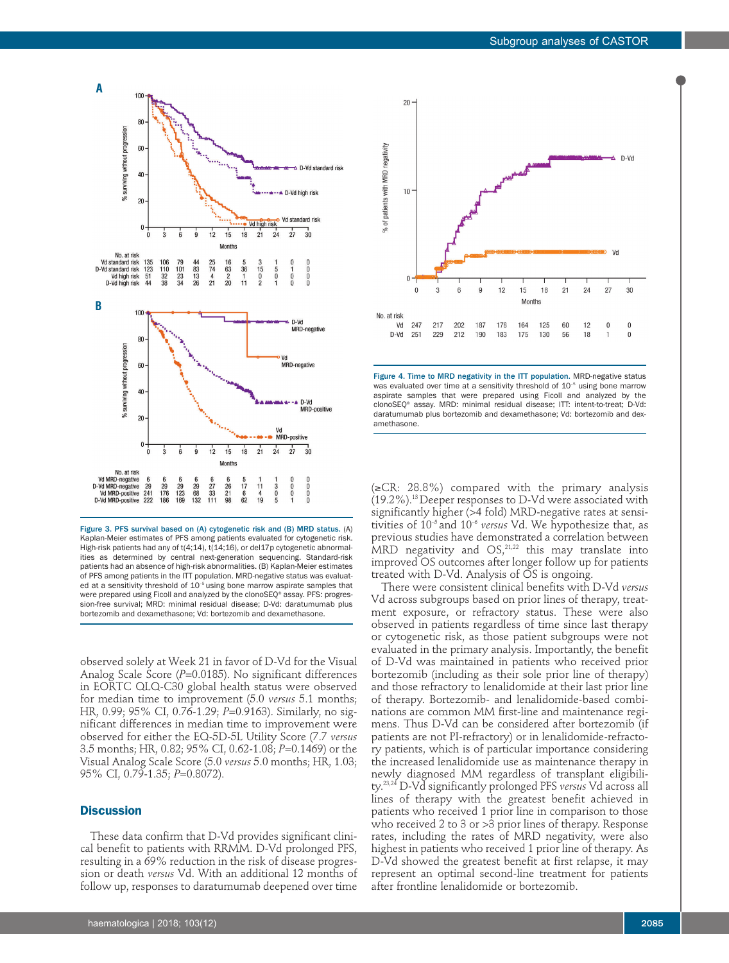

Figure 3. PFS survival based on (A) cytogenetic risk and (B) MRD status. (A) Kaplan-Meier estimates of PFS among patients evaluated for cytogenetic risk. High-risk patients had any of t(4;14), t(14;16), or del17p cytogenetic abnormalities as determined by central next-generation sequencing. Standard-risk patients had an absence of high-risk abnormalities. (B) Kaplan-Meier estimates of PFS among patients in the ITT population. MRD-negative status was evaluated at a sensitivity threshold of 10<sup>-5</sup> using bone marrow aspirate samples that were prepared using Ficoll and analyzed by the clonoSEQ® assay. PFS: progression-free survival; MRD: minimal residual disease; D-Vd: daratumumab plus bortezomib and dexamethasone; Vd: bortezomib and dexamethasone.

observed solely at Week 21 in favor of D-Vd for the Visual Analog Scale Score (P=0.0185). No significant differences in EORTC QLQ-C30 global health status were observed for median time to improvement (5.0 *versus* 5.1 months; HR, 0.99; 95% CI, 0.76-1.29; *P*=0.9163). Similarly, no significant differences in median time to improvement were observed for either the EQ-5D-5L Utility Score (7.7 *versus* 3.5 months; HR, 0.82; 95% CI, 0.62-1.08; *P*=0.1469) or the Visual Analog Scale Score (5.0 *versus* 5.0 months; HR, 1.03; 95% CI, 0.79-1.35; *P*=0.8072).

### **Discussion**

These data confirm that D-Vd provides significant clinical benefit to patients with RRMM. D-Vd prolonged PFS, resulting in a 69% reduction in the risk of disease progression or death *versus* Vd. With an additional 12 months of follow up, responses to daratumumab deepened over time



Figure 4. Time to MRD negativity in the ITT population. MRD-negative status was evaluated over time at a sensitivity threshold of 10<sup>-5</sup> using bone marrow aspirate samples that were prepared using Ficoll and analyzed by the clonoSEQ® assay. MRD: minimal residual disease; ITT: intent-to-treat; D-Vd: daratumumab plus bortezomib and dexamethasone; Vd: bortezomib and dexamethasone.

(≥CR: 28.8%) compared with the primary analysis  $(19.2\%)$ .<sup>13</sup> Deeper responses to D-Vd were associated with significantly higher (>4 fold) MRD-negative rates at sensitivities of 10–5 and 10–6 *versus* Vd. We hypothesize that, as previous studies have demonstrated a correlation between MRD negativity and  $OS<sub>1</sub><sup>21,22</sup>$  this may translate into improved OS outcomes after longer follow up for patients treated with D-Vd. Analysis of OS is ongoing.

There were consistent clinical benefits with D-Vd *versus* Vd across subgroups based on prior lines of therapy, treatment exposure, or refractory status. These were also observed in patients regardless of time since last therapy or cytogenetic risk, as those patient subgroups were not evaluated in the primary analysis. Importantly, the benefit of D-Vd was maintained in patients who received prior bortezomib (including as their sole prior line of therapy) and those refractory to lenalidomide at their last prior line of therapy. Bortezomib- and lenalidomide-based combinations are common MM first-line and maintenance regimens. Thus D-Vd can be considered after bortezomib (if patients are not PI-refractory) or in lenalidomide-refractory patients, which is of particular importance considering the increased lenalidomide use as maintenance therapy in newly diagnosed MM regardless of transplant eligibility.23,24 D-Vd significantly prolonged PFS *versus* Vd across all lines of therapy with the greatest benefit achieved in patients who received 1 prior line in comparison to those who received 2 to 3 or >3 prior lines of therapy. Response rates, including the rates of MRD negativity, were also highest in patients who received 1 prior line of therapy. As D-Vd showed the greatest benefit at first relapse, it may represent an optimal second-line treatment for patients after frontline lenalidomide or bortezomib.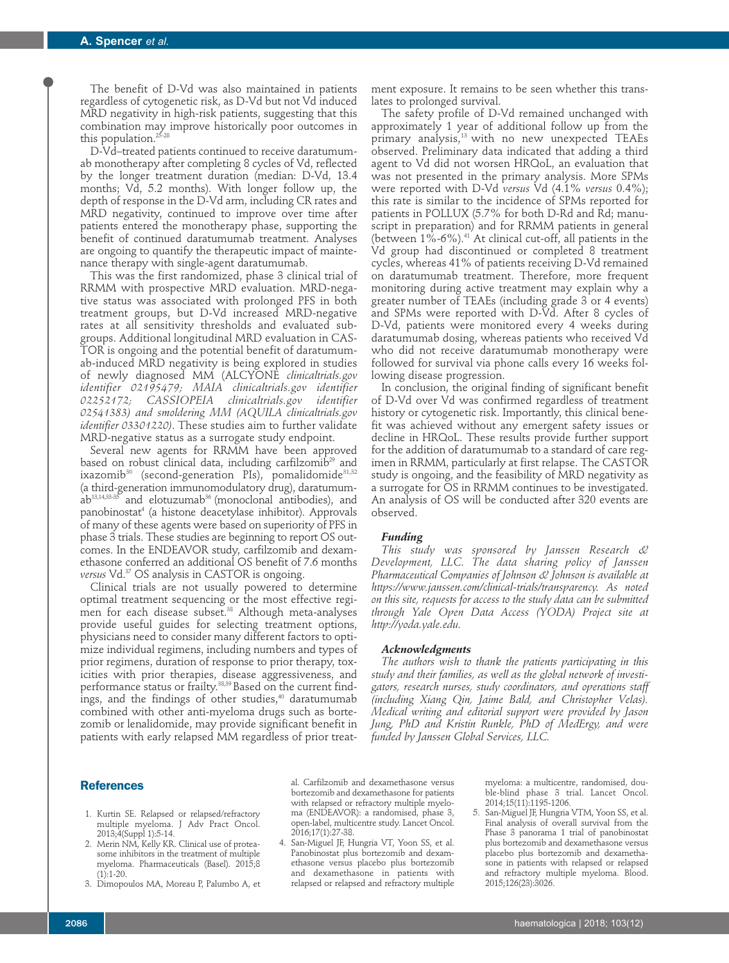The benefit of D-Vd was also maintained in patients regardless of cytogenetic risk, as D-Vd but not Vd induced MRD negativity in high-risk patients, suggesting that this combination may improve historically poor outcomes in this population.<sup>25-28</sup>

D-Vd–treated patients continued to receive daratumumab monotherapy after completing 8 cycles of Vd, reflected by the longer treatment duration (median: D-Vd, 13.4 months; Vd, 5.2 months). With longer follow up, the depth of response in the D-Vd arm, including CR rates and MRD negativity, continued to improve over time after patients entered the monotherapy phase, supporting the benefit of continued daratumumab treatment. Analyses are ongoing to quantify the therapeutic impact of maintenance therapy with single-agent daratumumab.

This was the first randomized, phase 3 clinical trial of RRMM with prospective MRD evaluation. MRD-negative status was associated with prolonged PFS in both treatment groups, but D-Vd increased MRD-negative rates at all sensitivity thresholds and evaluated subgroups. Additional longitudinal MRD evaluation in CAS-TOR is ongoing and the potential benefit of daratumumab-induced MRD negativity is being explored in studies of newly diagnosed MM (ALCYONE *clinicaltrials.gov identifier 02195479; MAIA clinicaltrials.gov identifier 02252172; CASSIOPEIA clinicaltrials.gov identifier 02541383) and smoldering MM (AQUILA clinicaltrials.gov identifier 03301220)*. These studies aim to further validate MRD-negative status as a surrogate study endpoint.

Several new agents for RRMM have been approved based on robust clinical data, including carfilzomib<sup>29</sup> and ixazomib<sup>30</sup> (second-generation PIs), pomalidomide<sup>31,32</sup> (a third-generation immunomodulatory drug), daratumum $a b^{13,14,33\cdot35}$  and elotuzumab<sup>36</sup> (monoclonal antibodies), and panobinostat<sup>4</sup> (a histone deacetylase inhibitor). Approvals of many of these agents were based on superiority of PFS in phase 3 trials. These studies are beginning to report OS outcomes. In the ENDEAVOR study, carfilzomib and dexamethasone conferred an additional OS benefit of 7.6 months *versus* Vd.37 OS analysis in CASTOR is ongoing.

Clinical trials are not usually powered to determine optimal treatment sequencing or the most effective regimen for each disease subset.<sup>38</sup> Although meta-analyses provide useful guides for selecting treatment options, physicians need to consider many different factors to optimize individual regimens, including numbers and types of prior regimens, duration of response to prior therapy, toxicities with prior therapies, disease aggressiveness, and performance status or frailty. $^{38,39}\rm{Based}$  on the current findings, and the findings of other studies,<sup>40</sup> daratumumab combined with other anti-myeloma drugs such as bortezomib or lenalidomide, may provide significant benefit in patients with early relapsed MM regardless of prior treatment exposure. It remains to be seen whether this translates to prolonged survival.

The safety profile of D-Vd remained unchanged with approximately 1 year of additional follow up from the primary analysis,<sup>13</sup> with no new unexpected TEAEs observed. Preliminary data indicated that adding a third agent to Vd did not worsen HRQoL, an evaluation that was not presented in the primary analysis. More SPMs were reported with D-Vd *versus* Vd (4.1% *versus* 0.4%); this rate is similar to the incidence of SPMs reported for patients in POLLUX (5.7% for both D-Rd and Rd; manuscript in preparation) and for RRMM patients in general (between  $1\%$ -6%).<sup>41</sup> At clinical cut-off, all patients in the Vd group had discontinued or completed 8 treatment cycles, whereas 41% of patients receiving D-Vd remained on daratumumab treatment. Therefore, more frequent monitoring during active treatment may explain why a greater number of TEAEs (including grade 3 or 4 events) and SPMs were reported with D-Vd. After 8 cycles of D-Vd, patients were monitored every 4 weeks during daratumumab dosing, whereas patients who received Vd who did not receive daratumumab monotherapy were followed for survival via phone calls every 16 weeks following disease progression.

In conclusion, the original finding of significant benefit of D-Vd over Vd was confirmed regardless of treatment history or cytogenetic risk. Importantly, this clinical benefit was achieved without any emergent safety issues or decline in HRQoL. These results provide further support for the addition of daratumumab to a standard of care regimen in RRMM, particularly at first relapse. The CASTOR study is ongoing, and the feasibility of MRD negativity as a surrogate for OS in RRMM continues to be investigated. An analysis of OS will be conducted after 320 events are observed.

### *Funding*

*This study was sponsored by Janssen Research & Development, LLC. The data sharing policy of Janssen Pharmaceutical Companies of Johnson & Johnson is available at https://www.janssen.com/clinical-trials/transparency. As noted on this site, requests for access to the study data can be submitted through Yale Open Data Access (YODA) Project site at http://yoda.yale.edu.*

## *Acknowledgments*

*The authors wish to thank the patients participating in this study and their families, as well as the global network of investigators, research nurses, study coordinators, and operations staff (including Xiang Qin, Jaime Bald, and Christopher Velas). Medical writing and editorial support were provided by Jason Jung, PhD and Kristin Runkle, PhD of MedErgy, and were funded by Janssen Global Services, LLC.* 

## **References**

- 1. Kurtin SE. Relapsed or relapsed/refractory multiple myeloma. J Adv Pract Oncol. 2013;4(Suppl 1):5-14.
- 2. Merin NM, Kelly KR. Clinical use of proteasome inhibitors in the treatment of multiple myeloma. Pharmaceuticals (Basel). 2015;8  $(1) \cdot 1 - 20$
- 3. Dimopoulos MA, Moreau P, Palumbo A, et

al. Carfilzomib and dexamethasone versus bortezomib and dexamethasone for patients with relapsed or refractory multiple myeloma (ENDEAVOR): a randomised, phase 3, open-label, multicentre study. Lancet Oncol. 2016;17(1):27-38.

4. San-Miguel JF, Hungria VT, Yoon SS, et al. Panobinostat plus bortezomib and dexamethasone versus placebo plus bortezomib and dexamethasone in patients with relapsed or relapsed and refractory multiple myeloma: a multicentre, randomised, double-blind phase 3 trial. Lancet Oncol. 2014;15(11):1195-1206.

5. San-Miguel JF, Hungria VTM, Yoon SS, et al. Final analysis of overall survival from the Phase 3 panorama 1 trial of panobinostat plus bortezomib and dexamethasone versus placebo plus bortezomib and dexamethasone in patients with relapsed or relapsed and refractory multiple myeloma. Blood. 2015;126(23):3026.